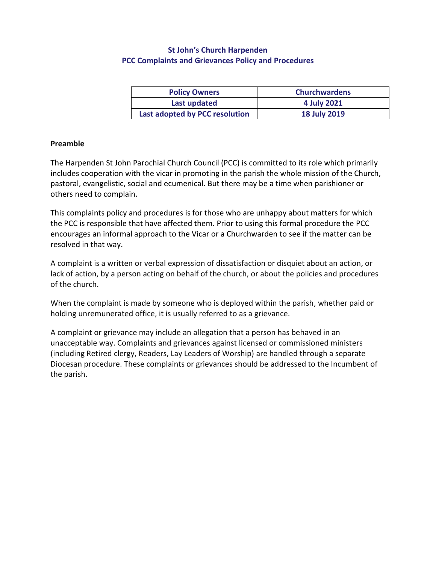# **St John's Church Harpenden PCC Complaints and Grievances Policy and Procedures**

| <b>Policy Owners</b>           | <b>Churchwardens</b> |
|--------------------------------|----------------------|
| Last updated                   | 4 July 2021          |
| Last adopted by PCC resolution | <b>18 July 2019</b>  |

### **Preamble**

The Harpenden St John Parochial Church Council (PCC) is committed to its role which primarily includes cooperation with the vicar in promoting in the parish the whole mission of the Church, pastoral, evangelistic, social and ecumenical. But there may be a time when parishioner or others need to complain.

This complaints policy and procedures is for those who are unhappy about matters for which the PCC is responsible that have affected them. Prior to using this formal procedure the PCC encourages an informal approach to the Vicar or a Churchwarden to see if the matter can be resolved in that way.

A complaint is a written or verbal expression of dissatisfaction or disquiet about an action, or lack of action, by a person acting on behalf of the church, or about the policies and procedures of the church.

When the complaint is made by someone who is deployed within the parish, whether paid or holding unremunerated office, it is usually referred to as a grievance.

A complaint or grievance may include an allegation that a person has behaved in an unacceptable way. Complaints and grievances against licensed or commissioned ministers (including Retired clergy, Readers, Lay Leaders of Worship) are handled through a separate Diocesan procedure. These complaints or grievances should be addressed to the Incumbent of the parish.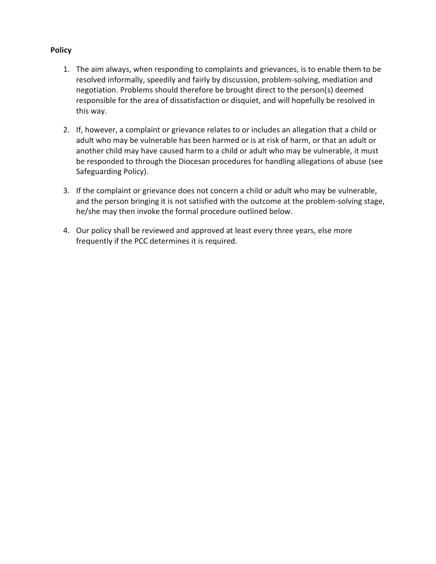### **Policy**

- 1. The aim always, when responding to complaints and grievances, is to enable them to be resolved informally, speedily and fairly by discussion, problem-solving, mediation and negotiation. Problems should therefore be brought direct to the person(s) deemed responsible for the area of dissatisfaction or disquiet, and will hopefully be resolved in this way.
- 2. If, however, a complaint or grievance relates to or includes an allegation that a child or adult who may be vulnerable has been harmed or is at risk of harm, or that an adult or another child may have caused harm to a child or adult who may be vulnerable, it must be responded to through the Diocesan procedures for handling allegations of abuse (see Safeguarding Policy).
- 3. If the complaint or grievance does not concern a child or adult who may be vulnerable, and the person bringing it is not satisfied with the outcome at the problem-solving stage, he/she may then invoke the formal procedure outlined below.
- 4. Our policy shall be reviewed and approved at least every three years, else more frequently if the PCC determines it is required.